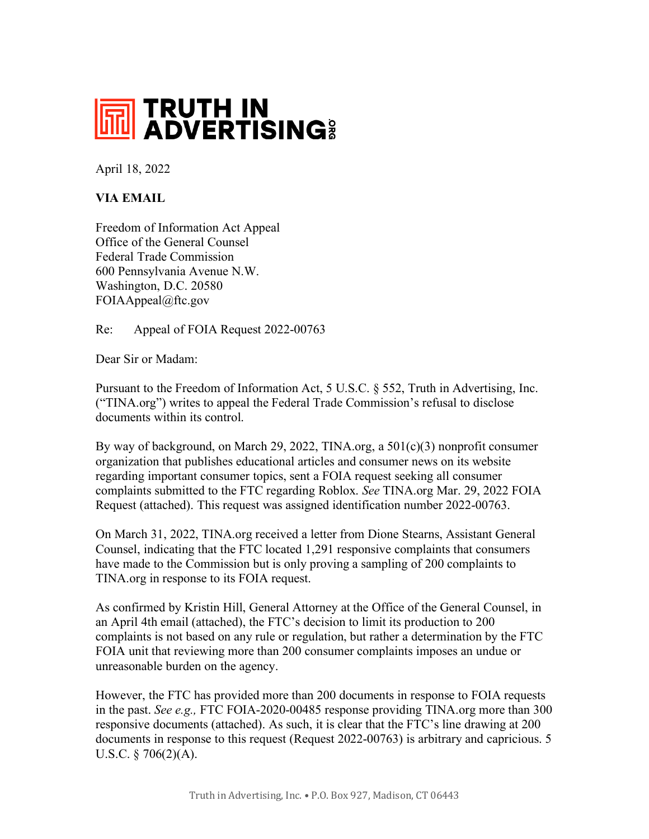

April 18, 2022

## **VIA EMAIL**

Freedom of Information Act Appeal Office of the General Counsel Federal Trade Commission 600 Pennsylvania Avenue N.W. Washington, D.C. 20580 FOIAAppeal@ftc.gov

Re: Appeal of FOIA Request 2022-00763

Dear Sir or Madam:

Pursuant to the Freedom of Information Act, 5 U.S.C. § 552, Truth in Advertising, Inc. ("TINA.org") writes to appeal the Federal Trade Commission's refusal to disclose documents within its control.

By way of background, on March 29, 2022, TINA.org, a 501(c)(3) nonprofit consumer organization that publishes educational articles and consumer news on its website regarding important consumer topics, sent a FOIA request seeking all consumer complaints submitted to the FTC regarding Roblox. *See* TINA.org Mar. 29, 2022 FOIA Request (attached). This request was assigned identification number 2022-00763.

On March 31, 2022, TINA.org received a letter from Dione Stearns, Assistant General Counsel, indicating that the FTC located 1,291 responsive complaints that consumers have made to the Commission but is only proving a sampling of 200 complaints to TINA.org in response to its FOIA request.

As confirmed by Kristin Hill, General Attorney at the Office of the General Counsel, in an April 4th email (attached), the FTC's decision to limit its production to 200 complaints is not based on any rule or regulation, but rather a determination by the FTC FOIA unit that reviewing more than 200 consumer complaints imposes an undue or unreasonable burden on the agency.

However, the FTC has provided more than 200 documents in response to FOIA requests in the past. *See e.g.,* FTC FOIA-2020-00485 response providing TINA.org more than 300 responsive documents (attached). As such, it is clear that the FTC's line drawing at 200 documents in response to this request (Request 2022-00763) is arbitrary and capricious. 5 U.S.C. § 706(2)(A).